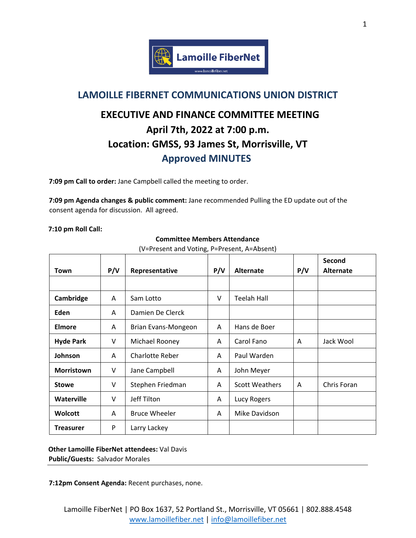

## **LAMOILLE FIBERNET COMMUNICATIONS UNION DISTRICT**

## **EXECUTIVE AND FINANCE COMMITTEE MEETING April 7th, 2022 at 7:00 p.m. Location: GMSS, 93 James St, Morrisville, VT Approved MINUTES**

**7:09 pm Call to order:** Jane Campbell called the meeting to order.

**7:09 pm Agenda changes & public comment:** Jane recommended Pulling the ED update out of the consent agenda for discussion. All agreed.

**7:10 pm Roll Call:** 

| Town              | P/V    | Representative         | P/V | <b>Alternate</b>      | P/V | Second<br><b>Alternate</b> |
|-------------------|--------|------------------------|-----|-----------------------|-----|----------------------------|
|                   |        |                        |     |                       |     |                            |
| Cambridge         | A      | Sam Lotto              | v   | <b>Teelah Hall</b>    |     |                            |
| Eden              | A      | Damien De Clerck       |     |                       |     |                            |
| Elmore            | A      | Brian Evans-Mongeon    | A   | Hans de Boer          |     |                            |
| <b>Hyde Park</b>  | V      | Michael Rooney         | A   | Carol Fano            | A   | Jack Wool                  |
| Johnson           | A      | <b>Charlotte Reber</b> | A   | Paul Warden           |     |                            |
| <b>Morristown</b> | $\vee$ | Jane Campbell          | A   | John Meyer            |     |                            |
| <b>Stowe</b>      | $\vee$ | Stephen Friedman       | A   | <b>Scott Weathers</b> | A   | Chris Foran                |
| <b>Waterville</b> | $\vee$ | Jeff Tilton            | A   | Lucy Rogers           |     |                            |
| <b>Wolcott</b>    | A      | <b>Bruce Wheeler</b>   | A   | Mike Davidson         |     |                            |
| <b>Treasurer</b>  | P      | Larry Lackey           |     |                       |     |                            |

**Committee Members Attendance**

(V=Present and Voting, P=Present, A=Absent)

**Other Lamoille FiberNet attendees:** Val Davis **Public/Guests:** Salvador Morales

**7:12pm Consent Agenda:** Recent purchases, none.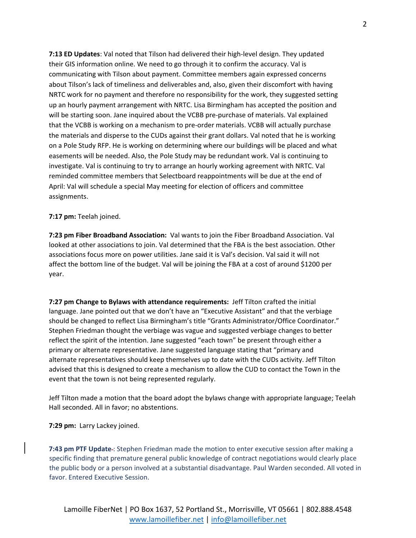**7:13 ED Updates**: Val noted that Tilson had delivered their high-level design. They updated their GIS information online. We need to go through it to confirm the accuracy. Val is communicating with Tilson about payment. Committee members again expressed concerns about Tilson's lack of timeliness and deliverables and, also, given their discomfort with having NRTC work for no payment and therefore no responsibility for the work, they suggested setting up an hourly payment arrangement with NRTC. Lisa Birmingham has accepted the position and will be starting soon. Jane inquired about the VCBB pre-purchase of materials. Val explained that the VCBB is working on a mechanism to pre-order materials. VCBB will actually purchase the materials and disperse to the CUDs against their grant dollars. Val noted that he is working on a Pole Study RFP. He is working on determining where our buildings will be placed and what easements will be needed. Also, the Pole Study may be redundant work. Val is continuing to investigate. Val is continuing to try to arrange an hourly working agreement with NRTC. Val reminded committee members that Selectboard reappointments will be due at the end of April: Val will schedule a special May meeting for election of officers and committee assignments.

## **7:17 pm:** Teelah joined.

**7:23 pm Fiber Broadband Association:** Val wants to join the Fiber Broadband Association. Val looked at other associations to join. Val determined that the FBA is the best association. Other associations focus more on power utilities. Jane said it is Val's decision. Val said it will not affect the bottom line of the budget. Val will be joining the FBA at a cost of around \$1200 per year.

**7:27 pm Change to Bylaws with attendance requirements:** Jeff Tilton crafted the initial language. Jane pointed out that we don't have an "Executive Assistant" and that the verbiage should be changed to reflect Lisa Birmingham's title "Grants Administrator/Office Coordinator." Stephen Friedman thought the verbiage was vague and suggested verbiage changes to better reflect the spirit of the intention. Jane suggested "each town" be present through either a primary or alternate representative. Jane suggested language stating that "primary and alternate representatives should keep themselves up to date with the CUDs activity. Jeff Tilton advised that this is designed to create a mechanism to allow the CUD to contact the Town in the event that the town is not being represented regularly.

Jeff Tilton made a motion that the board adopt the bylaws change with appropriate language; Teelah Hall seconded. All in favor; no abstentions.

**7:29 pm:** Larry Lackey joined.

**7:43 pm PTF Update** : Stephen Friedman made the motion to enter executive session after making a specific finding that premature general public knowledge of contract negotiations would clearly place the public body or a person involved at a substantial disadvantage. Paul Warden seconded. All voted in favor. Entered Executive Session.